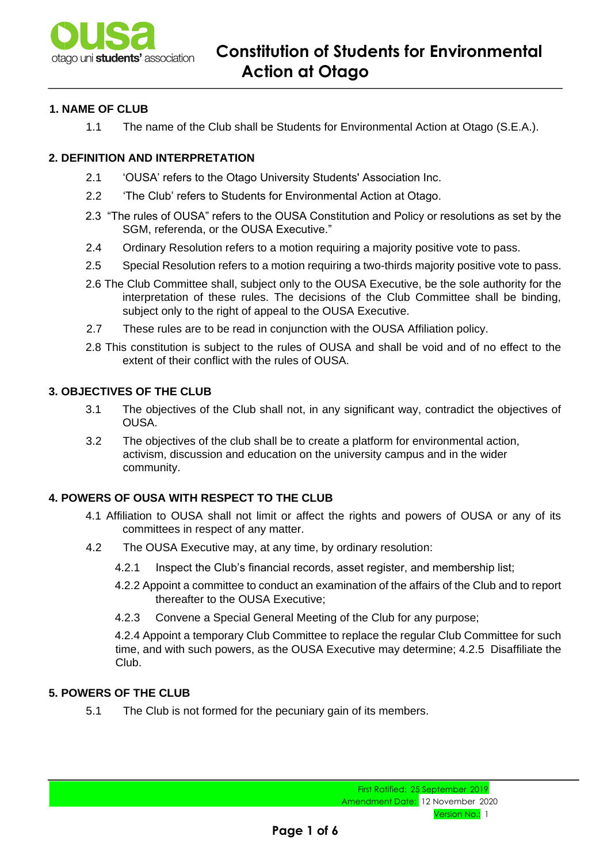

# **1. NAME OF CLUB**

1.1 The name of the Club shall be Students for Environmental Action at Otago (S.E.A.).

## **2. DEFINITION AND INTERPRETATION**

- 2.1 'OUSA' refers to the Otago University Students' Association Inc.
- 2.2 'The Club' refers to Students for Environmental Action at Otago.
- 2.3 "The rules of OUSA" refers to the OUSA Constitution and Policy or resolutions as set by the SGM, referenda, or the OUSA Executive."
- 2.4 Ordinary Resolution refers to a motion requiring a majority positive vote to pass.
- 2.5 Special Resolution refers to a motion requiring a two-thirds majority positive vote to pass.
- 2.6 The Club Committee shall, subject only to the OUSA Executive, be the sole authority for the interpretation of these rules. The decisions of the Club Committee shall be binding, subject only to the right of appeal to the OUSA Executive.
- 2.7 These rules are to be read in conjunction with the OUSA Affiliation policy.
- 2.8 This constitution is subject to the rules of OUSA and shall be void and of no effect to the extent of their conflict with the rules of OUSA.

### **3. OBJECTIVES OF THE CLUB**

- 3.1 The objectives of the Club shall not, in any significant way, contradict the objectives of OUSA.
- 3.2 The objectives of the club shall be to create a platform for environmental action, activism, discussion and education on the university campus and in the wider community.

## **4. POWERS OF OUSA WITH RESPECT TO THE CLUB**

- 4.1 Affiliation to OUSA shall not limit or affect the rights and powers of OUSA or any of its committees in respect of any matter.
- 4.2 The OUSA Executive may, at any time, by ordinary resolution:
	- 4.2.1 Inspect the Club's financial records, asset register, and membership list;
	- 4.2.2 Appoint a committee to conduct an examination of the affairs of the Club and to report thereafter to the OUSA Executive;
	- 4.2.3 Convene a Special General Meeting of the Club for any purpose;

4.2.4 Appoint a temporary Club Committee to replace the regular Club Committee for such time, and with such powers, as the OUSA Executive may determine; 4.2.5 Disaffiliate the Club.

## **5. POWERS OF THE CLUB**

5.1 The Club is not formed for the pecuniary gain of its members.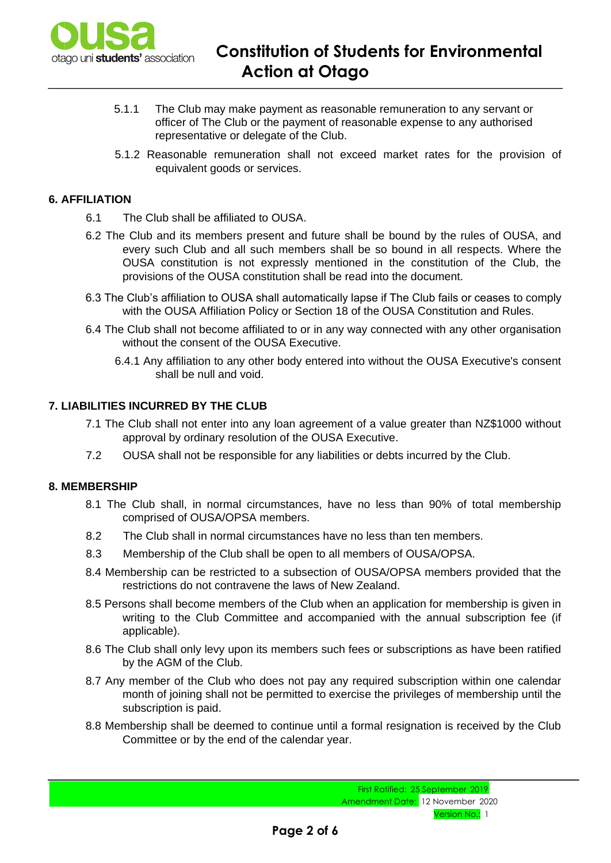

- 5.1.1 The Club may make payment as reasonable remuneration to any servant or officer of The Club or the payment of reasonable expense to any authorised representative or delegate of the Club.
- 5.1.2 Reasonable remuneration shall not exceed market rates for the provision of equivalent goods or services.

## **6. AFFILIATION**

- 6.1 The Club shall be affiliated to OUSA.
- 6.2 The Club and its members present and future shall be bound by the rules of OUSA, and every such Club and all such members shall be so bound in all respects. Where the OUSA constitution is not expressly mentioned in the constitution of the Club, the provisions of the OUSA constitution shall be read into the document.
- 6.3 The Club's affiliation to OUSA shall automatically lapse if The Club fails or ceases to comply with the OUSA Affiliation Policy or Section 18 of the OUSA Constitution and Rules.
- 6.4 The Club shall not become affiliated to or in any way connected with any other organisation without the consent of the OUSA Executive.
	- 6.4.1 Any affiliation to any other body entered into without the OUSA Executive's consent shall be null and void.

## **7. LIABILITIES INCURRED BY THE CLUB**

- 7.1 The Club shall not enter into any loan agreement of a value greater than NZ\$1000 without approval by ordinary resolution of the OUSA Executive.
- 7.2 OUSA shall not be responsible for any liabilities or debts incurred by the Club.

## **8. MEMBERSHIP**

- 8.1 The Club shall, in normal circumstances, have no less than 90% of total membership comprised of OUSA/OPSA members.
- 8.2 The Club shall in normal circumstances have no less than ten members.
- 8.3 Membership of the Club shall be open to all members of OUSA/OPSA.
- 8.4 Membership can be restricted to a subsection of OUSA/OPSA members provided that the restrictions do not contravene the laws of New Zealand.
- 8.5 Persons shall become members of the Club when an application for membership is given in writing to the Club Committee and accompanied with the annual subscription fee (if applicable).
- 8.6 The Club shall only levy upon its members such fees or subscriptions as have been ratified by the AGM of the Club.
- 8.7 Any member of the Club who does not pay any required subscription within one calendar month of joining shall not be permitted to exercise the privileges of membership until the subscription is paid.
- 8.8 Membership shall be deemed to continue until a formal resignation is received by the Club Committee or by the end of the calendar year.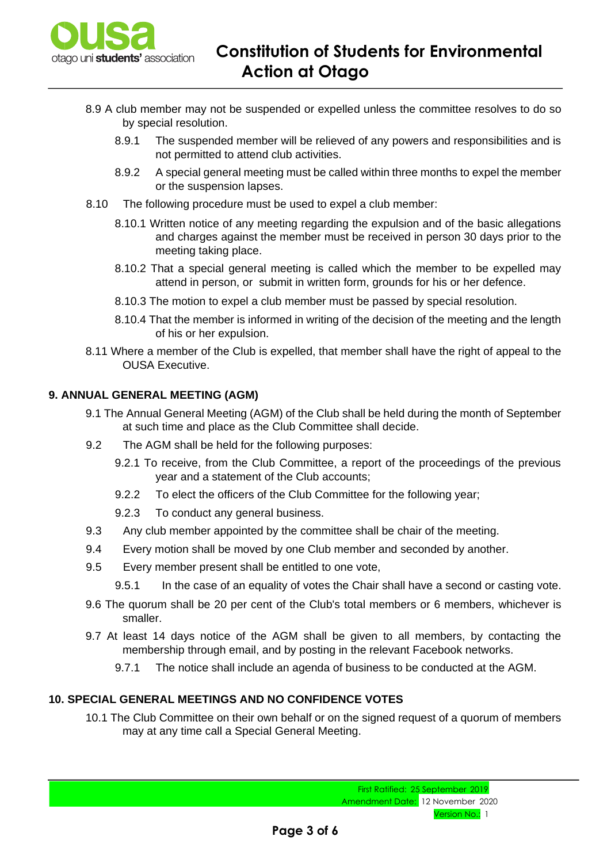

- 8.9 A club member may not be suspended or expelled unless the committee resolves to do so by special resolution.
	- 8.9.1 The suspended member will be relieved of any powers and responsibilities and is not permitted to attend club activities.
	- 8.9.2 A special general meeting must be called within three months to expel the member or the suspension lapses.
- 8.10 The following procedure must be used to expel a club member:
	- 8.10.1 Written notice of any meeting regarding the expulsion and of the basic allegations and charges against the member must be received in person 30 days prior to the meeting taking place.
	- 8.10.2 That a special general meeting is called which the member to be expelled may attend in person, or submit in written form, grounds for his or her defence.
	- 8.10.3 The motion to expel a club member must be passed by special resolution.
	- 8.10.4 That the member is informed in writing of the decision of the meeting and the length of his or her expulsion.
- 8.11 Where a member of the Club is expelled, that member shall have the right of appeal to the OUSA Executive.

## **9. ANNUAL GENERAL MEETING (AGM)**

- 9.1 The Annual General Meeting (AGM) of the Club shall be held during the month of September at such time and place as the Club Committee shall decide.
- 9.2 The AGM shall be held for the following purposes:
	- 9.2.1 To receive, from the Club Committee, a report of the proceedings of the previous year and a statement of the Club accounts;
	- 9.2.2 To elect the officers of the Club Committee for the following year;
	- 9.2.3 To conduct any general business.
- 9.3 Any club member appointed by the committee shall be chair of the meeting.
- 9.4 Every motion shall be moved by one Club member and seconded by another.
- 9.5 Every member present shall be entitled to one vote,
	- 9.5.1 In the case of an equality of votes the Chair shall have a second or casting vote.
- 9.6 The quorum shall be 20 per cent of the Club's total members or 6 members, whichever is smaller.
- 9.7 At least 14 days notice of the AGM shall be given to all members, by contacting the membership through email, and by posting in the relevant Facebook networks.
	- 9.7.1 The notice shall include an agenda of business to be conducted at the AGM.

## **10. SPECIAL GENERAL MEETINGS AND NO CONFIDENCE VOTES**

10.1 The Club Committee on their own behalf or on the signed request of a quorum of members may at any time call a Special General Meeting.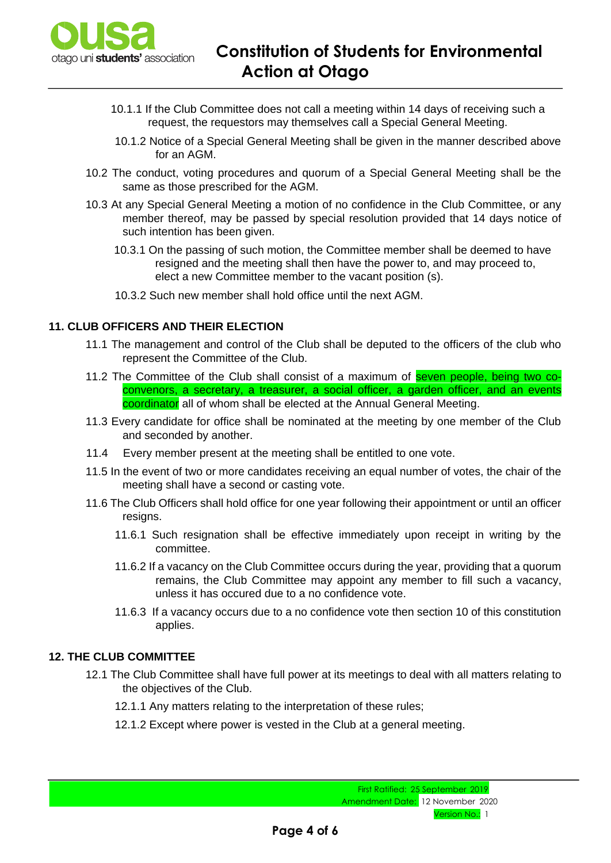

- 10.1.1 If the Club Committee does not call a meeting within 14 days of receiving such a request, the requestors may themselves call a Special General Meeting.
- 10.1.2 Notice of a Special General Meeting shall be given in the manner described above for an AGM.
- 10.2 The conduct, voting procedures and quorum of a Special General Meeting shall be the same as those prescribed for the AGM.
- 10.3 At any Special General Meeting a motion of no confidence in the Club Committee, or any member thereof, may be passed by special resolution provided that 14 days notice of such intention has been given.
	- 10.3.1 On the passing of such motion, the Committee member shall be deemed to have resigned and the meeting shall then have the power to, and may proceed to, elect a new Committee member to the vacant position (s).
	- 10.3.2 Such new member shall hold office until the next AGM.

## **11. CLUB OFFICERS AND THEIR ELECTION**

- 11.1 The management and control of the Club shall be deputed to the officers of the club who represent the Committee of the Club.
- 11.2 The Committee of the Club shall consist of a maximum of seven people, being two coconvenors, a secretary, a treasurer, a social officer, a garden officer, and an events coordinator all of whom shall be elected at the Annual General Meeting.
- 11.3 Every candidate for office shall be nominated at the meeting by one member of the Club and seconded by another.
- 11.4 Every member present at the meeting shall be entitled to one vote.
- 11.5 In the event of two or more candidates receiving an equal number of votes, the chair of the meeting shall have a second or casting vote.
- 11.6 The Club Officers shall hold office for one year following their appointment or until an officer resigns.
	- 11.6.1 Such resignation shall be effective immediately upon receipt in writing by the committee.
	- 11.6.2 If a vacancy on the Club Committee occurs during the year, providing that a quorum remains, the Club Committee may appoint any member to fill such a vacancy, unless it has occured due to a no confidence vote.
	- 11.6.3 If a vacancy occurs due to a no confidence vote then section 10 of this constitution applies.

## **12. THE CLUB COMMITTEE**

- 12.1 The Club Committee shall have full power at its meetings to deal with all matters relating to the objectives of the Club.
	- 12.1.1 Any matters relating to the interpretation of these rules;
	- 12.1.2 Except where power is vested in the Club at a general meeting.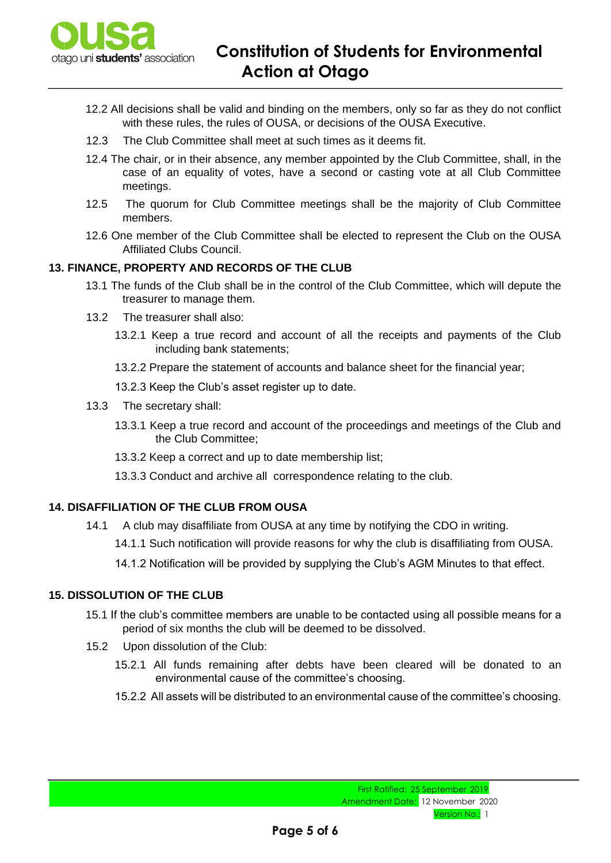

- 12.2 All decisions shall be valid and binding on the members, only so far as they do not conflict with these rules, the rules of OUSA, or decisions of the OUSA Executive.
- 12.3 The Club Committee shall meet at such times as it deems fit.
- 12.4 The chair, or in their absence, any member appointed by the Club Committee, shall, in the case of an equality of votes, have a second or casting vote at all Club Committee meetings.
- 12.5 The quorum for Club Committee meetings shall be the majority of Club Committee members.
- 12.6 One member of the Club Committee shall be elected to represent the Club on the OUSA Affiliated Clubs Council.

## **13. FINANCE, PROPERTY AND RECORDS OF THE CLUB**

- 13.1 The funds of the Club shall be in the control of the Club Committee, which will depute the treasurer to manage them.
- 13.2 The treasurer shall also:
	- 13.2.1 Keep a true record and account of all the receipts and payments of the Club including bank statements;
	- 13.2.2 Prepare the statement of accounts and balance sheet for the financial year;
	- 13.2.3 Keep the Club's asset register up to date.
- 13.3 The secretary shall:
	- 13.3.1 Keep a true record and account of the proceedings and meetings of the Club and the Club Committee;
	- 13.3.2 Keep a correct and up to date membership list;
	- 13.3.3 Conduct and archive all correspondence relating to the club.

#### **14. DISAFFILIATION OF THE CLUB FROM OUSA**

- 14.1 A club may disaffiliate from OUSA at any time by notifying the CDO in writing.
	- 14.1.1 Such notification will provide reasons for why the club is disaffiliating from OUSA.
	- 14.1.2 Notification will be provided by supplying the Club's AGM Minutes to that effect.

#### **15. DISSOLUTION OF THE CLUB**

- 15.1 If the club's committee members are unable to be contacted using all possible means for a period of six months the club will be deemed to be dissolved.
- 15.2 Upon dissolution of the Club:
	- 15.2.1 All funds remaining after debts have been cleared will be donated to an environmental cause of the committee's choosing.
	- 15.2.2 All assets will be distributed to an environmental cause of the committee's choosing.